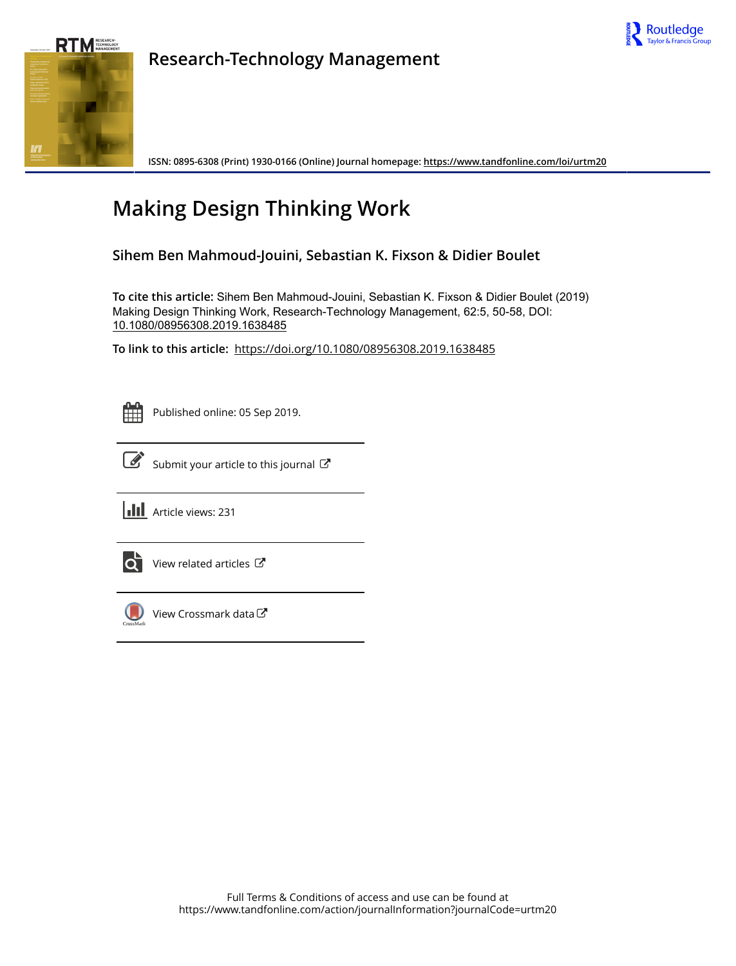



**Research-Technology Management**

**ISSN: 0895-6308 (Print) 1930-0166 (Online) Journal homepage:<https://www.tandfonline.com/loi/urtm20>**

# **Making Design Thinking Work**

**Sihem Ben Mahmoud-Jouini, Sebastian K. Fixson & Didier Boulet**

**To cite this article:** Sihem Ben Mahmoud-Jouini, Sebastian K. Fixson & Didier Boulet (2019) Making Design Thinking Work, Research-Technology Management, 62:5, 50-58, DOI: [10.1080/08956308.2019.1638485](https://www.tandfonline.com/action/showCitFormats?doi=10.1080/08956308.2019.1638485)

**To link to this article:** <https://doi.org/10.1080/08956308.2019.1638485>



Published online: 05 Sep 2019.



 $\overrightarrow{S}$  [Submit your article to this journal](https://www.tandfonline.com/action/authorSubmission?journalCode=urtm20&show=instructions)  $\overrightarrow{S}$ 

**Article views: 231** 



 $\overrightarrow{Q}$  [View related articles](https://www.tandfonline.com/doi/mlt/10.1080/08956308.2019.1638485)  $\overrightarrow{C}$ 



[View Crossmark data](http://crossmark.crossref.org/dialog/?doi=10.1080/08956308.2019.1638485&domain=pdf&date_stamp=2019-09-05)<sup>で</sup>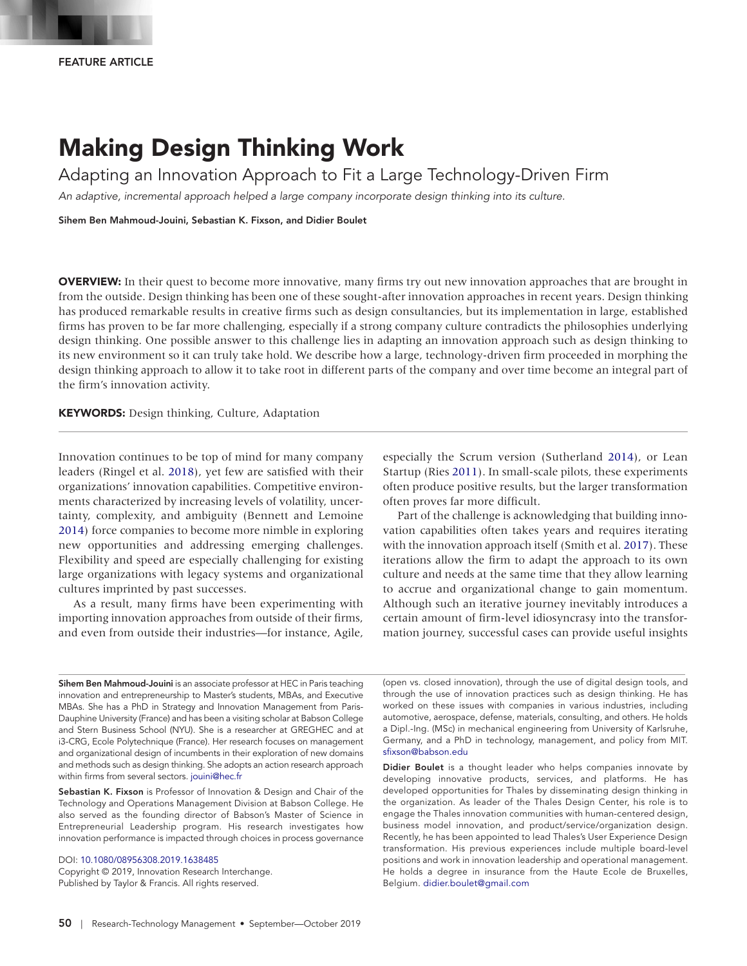## Making Design Thinking Work

Adapting an Innovation Approach to Fit a Large Technology-Driven Firm

*An adaptive, incremental approach helped a large company incorporate design thinking into its culture.*

Sihem Ben Mahmoud-Jouini, Sebastian K. Fixson, and Didier Boulet

OVERVIEW: In their quest to become more innovative, many firms try out new innovation approaches that are brought in from the outside. Design thinking has been one of these sought-after innovation approaches in recent years. Design thinking has produced remarkable results in creative firms such as design consultancies, but its implementation in large, established firms has proven to be far more challenging, especially if a strong company culture contradicts the philosophies underlying design thinking. One possible answer to this challenge lies in adapting an innovation approach such as design thinking to its new environment so it can truly take hold. We describe how a large, technology-driven firm proceeded in morphing the design thinking approach to allow it to take root in different parts of the company and over time become an integral part of the firm's innovation activity.

KEYWORDS: Design thinking, Culture, Adaptation

<span id="page-1-2"></span><span id="page-1-0"></span>Innovation continues to be top of mind for many company leaders (Ringel et al. [2018](#page-9-0)), yet few are satisfied with their organizations' innovation capabilities. Competitive environments characterized by increasing levels of volatility, uncertainty, complexity, and ambiguity (Bennett and Lemoine [2014](#page-9-1)) force companies to become more nimble in exploring new opportunities and addressing emerging challenges. Flexibility and speed are especially challenging for existing large organizations with legacy systems and organizational cultures imprinted by past successes.

As a result, many firms have been experimenting with importing innovation approaches from outside of their firms, and even from outside their industries—for instance, Agile, <span id="page-1-4"></span><span id="page-1-1"></span>especially the Scrum version (Sutherland [2014\)](#page-9-2), or Lean Startup (Ries [2011\)](#page-9-3). In small-scale pilots, these experiments often produce positive results, but the larger transformation often proves far more difficult.

<span id="page-1-3"></span>Part of the challenge is acknowledging that building innovation capabilities often takes years and requires iterating with the innovation approach itself (Smith et al. [2017](#page-9-4)). These iterations allow the firm to adapt the approach to its own culture and needs at the same time that they allow learning to accrue and organizational change to gain momentum. Although such an iterative journey inevitably introduces a certain amount of firm-level idiosyncrasy into the transformation journey, successful cases can provide useful insights

Sihem Ben Mahmoud-Jouini is an associate professor at HEC in Paris teaching innovation and entrepreneurship to Master's students, MBAs, and Executive MBAs. She has a PhD in Strategy and Innovation Management from Paris-Dauphine University (France) and has been a visiting scholar at Babson College and Stern Business School (NYU). She is a researcher at GREGHEC and at i3-CRG, Ecole Polytechnique (France). Her research focuses on management and organizational design of incumbents in their exploration of new domains and methods such as design thinking. She adopts an action research approach within firms from several sectors. jouini@hec.fr

Sebastian K. Fixson is Professor of Innovation & Design and Chair of the Technology and Operations Management Division at Babson College. He also served as the founding director of Babson's Master of Science in Entrepreneurial Leadership program. His research investigates how innovation performance is impacted through choices in process governance

DOI: [10.1080/08956308.2019.1638485](http://10.1080/08956308.2019.1638485) Copyright © 2019, Innovation Research Interchange. Published by Taylor & Francis. All rights reserved.

(open vs. closed innovation), through the use of digital design tools, and through the use of innovation practices such as design thinking. He has worked on these issues with companies in various industries, including automotive, aerospace, defense, materials, consulting, and others. He holds a Dipl.-Ing. (MSc) in mechanical engineering from University of Karlsruhe, Germany, and a PhD in technology, management, and policy from MIT. sfixson@babson.edu

Didier Boulet is a thought leader who helps companies innovate by developing innovative products, services, and platforms. He has developed opportunities for Thales by disseminating design thinking in the organization. As leader of the Thales Design Center, his role is to engage the Thales innovation communities with human-centered design, business model innovation, and product/service/organization design. Recently, he has been appointed to lead Thales's User Experience Design transformation. His previous experiences include multiple board-level positions and work in innovation leadership and operational management. He holds a degree in insurance from the Haute Ecole de Bruxelles, Belgium. didier.boulet@gmail.com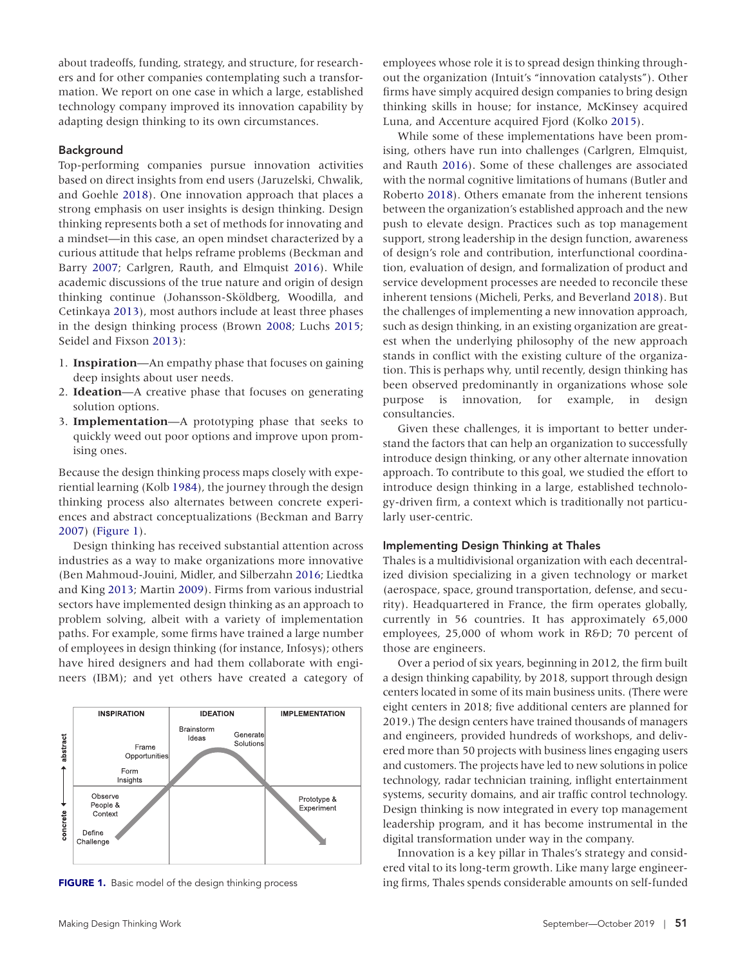about tradeoffs, funding, strategy, and structure, for researchers and for other companies contemplating such a transformation. We report on one case in which a large, established technology company improved its innovation capability by adapting design thinking to its own circumstances.

### Background

<span id="page-2-8"></span><span id="page-2-2"></span>Top-performing companies pursue innovation activities based on direct insights from end users (Jaruzelski, Chwalik, and Goehle [2018\)](#page-9-5). One innovation approach that places a strong emphasis on user insights is design thinking. Design thinking represents both a set of methods for innovating and a mindset—in this case, an open mindset characterized by a curious attitude that helps reframe problems (Beckman and Barry [2007;](#page-9-6) Carlgren, Rauth, and Elmquist [2016](#page-9-7)). While academic discussions of the true nature and origin of design thinking continue (Johansson-Sköldberg, Woodilla, and Cetinkaya [2013](#page-9-8)), most authors include at least three phases in the design thinking process (Brown [2008](#page-9-9); Luchs [2015](#page-9-10); Seidel and Fixson [2013](#page-9-11)):

- <span id="page-2-16"></span><span id="page-2-9"></span><span id="page-2-7"></span><span id="page-2-4"></span>1. **Inspiration**—An empathy phase that focuses on gaining deep insights about user needs.
- 2. **Ideation**—A creative phase that focuses on generating solution options.
- 3. **Implementation**—A prototyping phase that seeks to quickly weed out poor options and improve upon promising ones.

<span id="page-2-10"></span>Because the design thinking process maps closely with experiential learning (Kolb [1984\)](#page-9-12), the journey through the design thinking process also alternates between concrete experiences and abstract conceptualizations (Beckman and Barry [2007](#page-9-13)) [\(Figure 1](#page-2-0)).

<span id="page-2-14"></span><span id="page-2-12"></span><span id="page-2-3"></span><span id="page-2-1"></span>Design thinking has received substantial attention across industries as a way to make organizations more innovative (Ben Mahmoud-Jouini, Midler, and Silberzahn [2016;](#page-9-14) Liedtka and King [2013;](#page-9-15) Martin [2009](#page-9-16)). Firms from various industrial sectors have implemented design thinking as an approach to problem solving, albeit with a variety of implementation paths. For example, some firms have trained a large number of employees in design thinking (for instance, Infosys); others have hired designers and had them collaborate with engineers (IBM); and yet others have created a category of



<span id="page-2-0"></span>

employees whose role it is to spread design thinking throughout the organization (Intuit's "innovation catalysts"). Other firms have simply acquired design companies to bring design thinking skills in house; for instance, McKinsey acquired Luna, and Accenture acquired Fjord (Kolko [2015](#page-9-17)).

<span id="page-2-11"></span><span id="page-2-6"></span><span id="page-2-5"></span>While some of these implementations have been promising, others have run into challenges (Carlgren, Elmquist, and Rauth [2016\)](#page-9-18). Some of these challenges are associated with the normal cognitive limitations of humans (Butler and Roberto [2018](#page-9-19)). Others emanate from the inherent tensions between the organization's established approach and the new push to elevate design. Practices such as top management support, strong leadership in the design function, awareness of design's role and contribution, interfunctional coordination, evaluation of design, and formalization of product and service development processes are needed to reconcile these inherent tensions (Micheli, Perks, and Beverland [2018](#page-9-20)). But the challenges of implementing a new innovation approach, such as design thinking, in an existing organization are greatest when the underlying philosophy of the new approach stands in conflict with the existing culture of the organization. This is perhaps why, until recently, design thinking has been observed predominantly in organizations whose sole purpose is innovation, for example, in design consultancies.

<span id="page-2-15"></span><span id="page-2-13"></span>Given these challenges, it is important to better understand the factors that can help an organization to successfully introduce design thinking, or any other alternate innovation approach. To contribute to this goal, we studied the effort to introduce design thinking in a large, established technology-driven firm, a context which is traditionally not particularly user-centric.

### Implementing Design Thinking at Thales

Thales is a multidivisional organization with each decentralized division specializing in a given technology or market (aerospace, space, ground transportation, defense, and security). Headquartered in France, the firm operates globally, currently in 56 countries. It has approximately 65,000 employees, 25,000 of whom work in R&D; 70 percent of those are engineers.

Over a period of six years, beginning in 2012, the firm built a design thinking capability, by 2018, support through design centers located in some of its main business units. (There were eight centers in 2018; five additional centers are planned for 2019.) The design centers have trained thousands of managers and engineers, provided hundreds of workshops, and delivered more than 50 projects with business lines engaging users and customers. The projects have led to new solutions in police technology, radar technician training, inflight entertainment systems, security domains, and air traffic control technology. Design thinking is now integrated in every top management leadership program, and it has become instrumental in the digital transformation under way in the company.

Innovation is a key pillar in Thales's strategy and considered vital to its long-term growth. Like many large engineer-[FIGURE 1.](#page-2-1) Basic model of the design thinking process ing firms, Thales spends considerable amounts on self-funded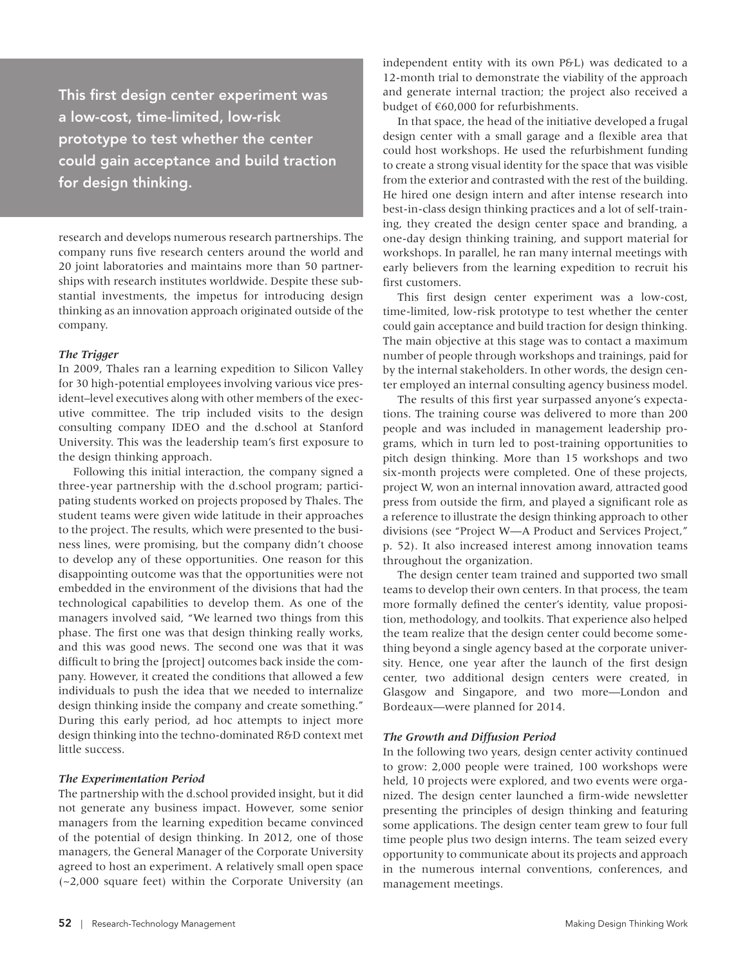This first design center experiment was a low-cost, time-limited, low-risk prototype to test whether the center could gain acceptance and build traction for design thinking.

research and develops numerous research partnerships. The company runs five research centers around the world and 20 joint laboratories and maintains more than 50 partnerships with research institutes worldwide. Despite these substantial investments, the impetus for introducing design thinking as an innovation approach originated outside of the company.

### *The Trigger*

In 2009, Thales ran a learning expedition to Silicon Valley for 30 high-potential employees involving various vice president–level executives along with other members of the executive committee. The trip included visits to the design consulting company IDEO and the d.school at Stanford University. This was the leadership team's first exposure to the design thinking approach.

Following this initial interaction, the company signed a three-year partnership with the d.school program; participating students worked on projects proposed by Thales. The student teams were given wide latitude in their approaches to the project. The results, which were presented to the business lines, were promising, but the company didn't choose to develop any of these opportunities. One reason for this disappointing outcome was that the opportunities were not embedded in the environment of the divisions that had the technological capabilities to develop them. As one of the managers involved said, "We learned two things from this phase. The first one was that design thinking really works, and this was good news. The second one was that it was difficult to bring the [project] outcomes back inside the company. However, it created the conditions that allowed a few individuals to push the idea that we needed to internalize design thinking inside the company and create something." During this early period, ad hoc attempts to inject more design thinking into the techno-dominated R&D context met little success.

### *The Experimentation Period*

The partnership with the d.school provided insight, but it did not generate any business impact. However, some senior managers from the learning expedition became convinced of the potential of design thinking. In 2012, one of those managers, the General Manager of the Corporate University agreed to host an experiment. A relatively small open space (~2,000 square feet) within the Corporate University (an independent entity with its own P&L) was dedicated to a 12-month trial to demonstrate the viability of the approach and generate internal traction; the project also received a budget of €60,000 for refurbishments.

In that space, the head of the initiative developed a frugal design center with a small garage and a flexible area that could host workshops. He used the refurbishment funding to create a strong visual identity for the space that was visible from the exterior and contrasted with the rest of the building. He hired one design intern and after intense research into best-in-class design thinking practices and a lot of self-training, they created the design center space and branding, a one-day design thinking training, and support material for workshops. In parallel, he ran many internal meetings with early believers from the learning expedition to recruit his first customers.

This first design center experiment was a low-cost, time-limited, low-risk prototype to test whether the center could gain acceptance and build traction for design thinking. The main objective at this stage was to contact a maximum number of people through workshops and trainings, paid for by the internal stakeholders. In other words, the design center employed an internal consulting agency business model.

The results of this first year surpassed anyone's expectations. The training course was delivered to more than 200 people and was included in management leadership programs, which in turn led to post-training opportunities to pitch design thinking. More than 15 workshops and two six-month projects were completed. One of these projects, project W, won an internal innovation award, attracted good press from outside the firm, and played a significant role as a reference to illustrate the design thinking approach to other divisions (see "Project W—A Product and Services Project," p. 52). It also increased interest among innovation teams throughout the organization.

The design center team trained and supported two small teams to develop their own centers. In that process, the team more formally defined the center's identity, value proposition, methodology, and toolkits. That experience also helped the team realize that the design center could become something beyond a single agency based at the corporate university. Hence, one year after the launch of the first design center, two additional design centers were created, in Glasgow and Singapore, and two more—London and Bordeaux—were planned for 2014.

### *The Growth and Diffusion Period*

In the following two years, design center activity continued to grow: 2,000 people were trained, 100 workshops were held, 10 projects were explored, and two events were organized. The design center launched a firm-wide newsletter presenting the principles of design thinking and featuring some applications. The design center team grew to four full time people plus two design interns. The team seized every opportunity to communicate about its projects and approach in the numerous internal conventions, conferences, and management meetings.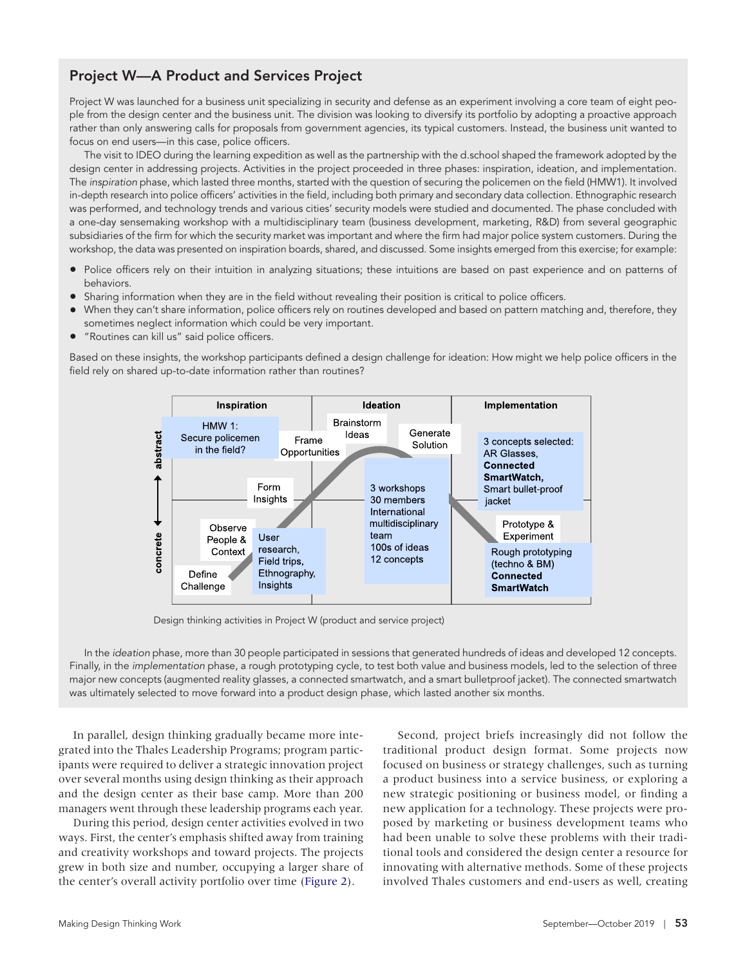### Project W—A Product and Services Project

Project W was launched for a business unit specializing in security and defense as an experiment involving a core team of eight people from the design center and the business unit. The division was looking to diversify its portfolio by adopting a proactive approach rather than only answering calls for proposals from government agencies, its typical customers. Instead, the business unit wanted to focus on end users—in this case, police officers.

The visit to IDEO during the learning expedition as well as the partnership with the d.school shaped the framework adopted by the design center in addressing projects. Activities in the project proceeded in three phases: inspiration, ideation, and implementation. The *inspiration* phase, which lasted three months, started with the question of securing the policemen on the field (HMW1). It involved in-depth research into police officers' activities in the field, including both primary and secondary data collection. Ethnographic research was performed, and technology trends and various cities' security models were studied and documented. The phase concluded with a one-day sensemaking workshop with a multidisciplinary team (business development, marketing, R&D) from several geographic subsidiaries of the firm for which the security market was important and where the firm had major police system customers. During the workshop, the data was presented on inspiration boards, shared, and discussed. Some insights emerged from this exercise; for example:

- Police officers rely on their intuition in analyzing situations; these intuitions are based on past experience and on patterns of behaviors.
- Sharing information when they are in the field without revealing their position is critical to police officers.
- When they can't share information, police officers rely on routines developed and based on pattern matching and, therefore, they sometimes neglect information which could be very important.
- "Routines can kill us" said police officers.

Based on these insights, the workshop participants defined a design challenge for ideation: How might we help police officers in the field rely on shared up-to-date information rather than routines?



Design thinking activities in Project W (product and service project)

In the *ideation* phase, more than 30 people participated in sessions that generated hundreds of ideas and developed 12 concepts. Finally, in the *implementation* phase, a rough prototyping cycle, to test both value and business models, led to the selection of three major new concepts (augmented reality glasses, a connected smartwatch, and a smart bulletproof jacket). The connected smartwatch was ultimately selected to move forward into a product design phase, which lasted another six months.

In parallel, design thinking gradually became more integrated into the Thales Leadership Programs; program participants were required to deliver a strategic innovation project over several months using design thinking as their approach and the design center as their base camp. More than 200 managers went through these leadership programs each year.

<span id="page-4-0"></span>During this period, design center activities evolved in two ways. First, the center's emphasis shifted away from training and creativity workshops and toward projects. The projects grew in both size and number, occupying a larger share of the center's overall activity portfolio over time ([Figure 2\)](#page-5-0).

Second, project briefs increasingly did not follow the traditional product design format. Some projects now focused on business or strategy challenges, such as turning a product business into a service business, or exploring a new strategic positioning or business model, or finding a new application for a technology. These projects were proposed by marketing or business development teams who had been unable to solve these problems with their traditional tools and considered the design center a resource for innovating with alternative methods. Some of these projects involved Thales customers and end-users as well, creating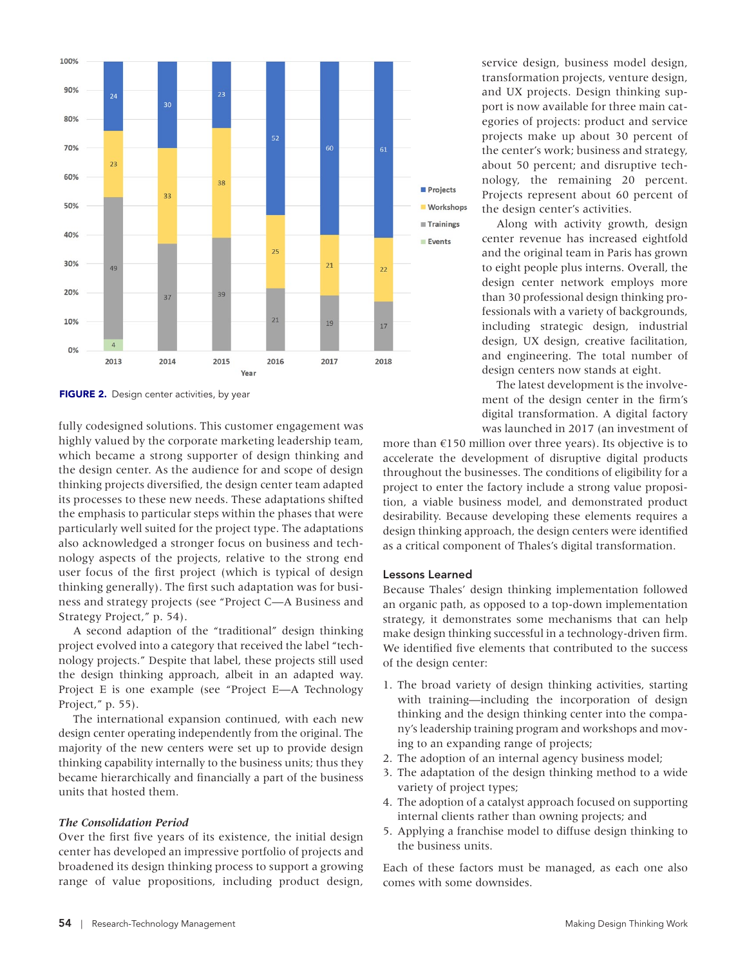

<span id="page-5-0"></span>[FIGURE 2.](#page-4-0) Design center activities, by year

fully codesigned solutions. This customer engagement was highly valued by the corporate marketing leadership team, which became a strong supporter of design thinking and the design center. As the audience for and scope of design thinking projects diversified, the design center team adapted its processes to these new needs. These adaptations shifted the emphasis to particular steps within the phases that were particularly well suited for the project type. The adaptations also acknowledged a stronger focus on business and technology aspects of the projects, relative to the strong end user focus of the first project (which is typical of design thinking generally). The first such adaptation was for business and strategy projects (see "Project C—A Business and Strategy Project," p. 54).

A second adaption of the "traditional" design thinking project evolved into a category that received the label "technology projects." Despite that label, these projects still used the design thinking approach, albeit in an adapted way. Project E is one example (see "Project E—A Technology Project," p. 55).

The international expansion continued, with each new design center operating independently from the original. The majority of the new centers were set up to provide design thinking capability internally to the business units; thus they became hierarchically and financially a part of the business units that hosted them.

### *The Consolidation Period*

Over the first five years of its existence, the initial design center has developed an impressive portfolio of projects and broadened its design thinking process to support a growing range of value propositions, including product design,

service design, business model design, transformation projects, venture design, and UX projects. Design thinking support is now available for three main categories of projects: product and service projects make up about 30 percent of the center's work; business and strategy, about 50 percent; and disruptive technology, the remaining 20 percent. Projects represent about 60 percent of the design center's activities.

Along with activity growth, design center revenue has increased eightfold and the original team in Paris has grown to eight people plus interns. Overall, the design center network employs more than 30 professional design thinking professionals with a variety of backgrounds, including strategic design, industrial design, UX design, creative facilitation, and engineering. The total number of design centers now stands at eight.

The latest development is the involvement of the design center in the firm's digital transformation. A digital factory was launched in 2017 (an investment of

more than €150 million over three years). Its objective is to accelerate the development of disruptive digital products throughout the businesses. The conditions of eligibility for a project to enter the factory include a strong value proposition, a viable business model, and demonstrated product desirability. Because developing these elements requires a design thinking approach, the design centers were identified as a critical component of Thales's digital transformation.

#### Lessons Learned

Because Thales' design thinking implementation followed an organic path, as opposed to a top-down implementation strategy, it demonstrates some mechanisms that can help make design thinking successful in a technology-driven firm. We identified five elements that contributed to the success of the design center:

- 1. The broad variety of design thinking activities, starting with training—including the incorporation of design thinking and the design thinking center into the company's leadership training program and workshops and moving to an expanding range of projects;
- 2. The adoption of an internal agency business model;
- 3. The adaptation of the design thinking method to a wide variety of project types;
- 4. The adoption of a catalyst approach focused on supporting internal clients rather than owning projects; and
- 5. Applying a franchise model to diffuse design thinking to the business units.

Each of these factors must be managed, as each one also comes with some downsides.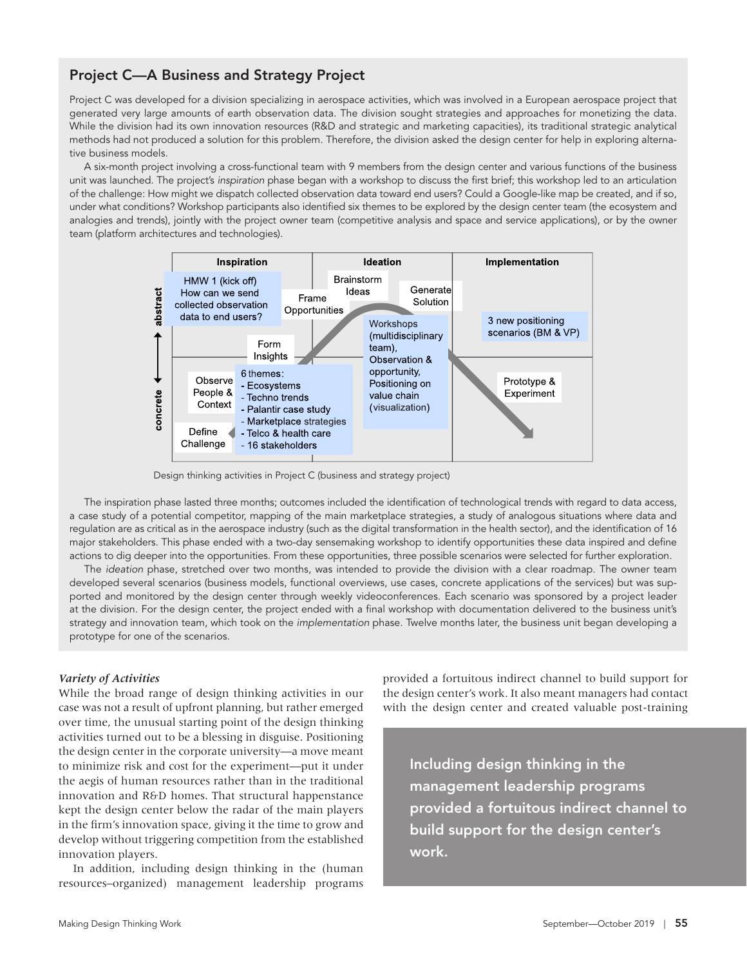### Project C—A Business and Strategy Project

Project C was developed for a division specializing in aerospace activities, which was involved in a European aerospace project that generated very large amounts of earth observation data. The division sought strategies and approaches for monetizing the data. While the division had its own innovation resources (R&D and strategic and marketing capacities), its traditional strategic analytical methods had not produced a solution for this problem. Therefore, the division asked the design center for help in exploring alternative business models.

A six-month project involving a cross-functional team with 9 members from the design center and various functions of the business unit was launched. The project's *inspiration* phase began with a workshop to discuss the first brief; this workshop led to an articulation of the challenge: How might we dispatch collected observation data toward end users? Could a Google-like map be created, and if so, under what conditions? Workshop participants also identified six themes to be explored by the design center team (the ecosystem and analogies and trends), jointly with the project owner team (competitive analysis and space and service applications), or by the owner team (platform architectures and technologies).



Design thinking activities in Project C (business and strategy project)

The inspiration phase lasted three months; outcomes included the identification of technological trends with regard to data access, a case study of a potential competitor, mapping of the main marketplace strategies, a study of analogous situations where data and regulation are as critical as in the aerospace industry (such as the digital transformation in the health sector), and the identification of 16 major stakeholders. This phase ended with a two-day sensemaking workshop to identify opportunities these data inspired and define actions to dig deeper into the opportunities. From these opportunities, three possible scenarios were selected for further exploration.

The *ideation* phase, stretched over two months, was intended to provide the division with a clear roadmap. The owner team developed several scenarios (business models, functional overviews, use cases, concrete applications of the services) but was supported and monitored by the design center through weekly videoconferences. Each scenario was sponsored by a project leader at the division. For the design center, the project ended with a final workshop with documentation delivered to the business unit's strategy and innovation team, which took on the *implementation* phase. Twelve months later, the business unit began developing a prototype for one of the scenarios.

### *Variety of Activities*

While the broad range of design thinking activities in our case was not a result of upfront planning, but rather emerged over time, the unusual starting point of the design thinking activities turned out to be a blessing in disguise. Positioning the design center in the corporate university—a move meant to minimize risk and cost for the experiment—put it under the aegis of human resources rather than in the traditional innovation and R&D homes. That structural happenstance kept the design center below the radar of the main players in the firm's innovation space, giving it the time to grow and develop without triggering competition from the established innovation players.

In addition, including design thinking in the (human resources–organized) management leadership programs provided a fortuitous indirect channel to build support for the design center's work. It also meant managers had contact with the design center and created valuable post-training

Including design thinking in the management leadership programs provided a fortuitous indirect channel to build support for the design center's work.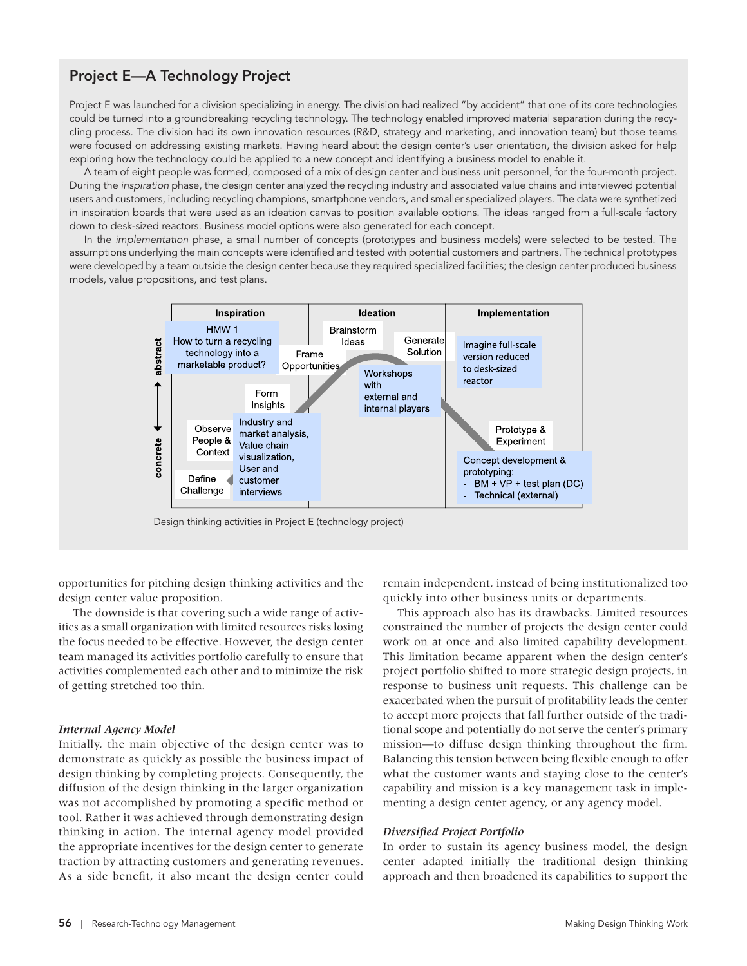### Project E—A Technology Project

Project E was launched for a division specializing in energy. The division had realized "by accident" that one of its core technologies could be turned into a groundbreaking recycling technology. The technology enabled improved material separation during the recycling process. The division had its own innovation resources (R&D, strategy and marketing, and innovation team) but those teams were focused on addressing existing markets. Having heard about the design center's user orientation, the division asked for help exploring how the technology could be applied to a new concept and identifying a business model to enable it.

A team of eight people was formed, composed of a mix of design center and business unit personnel, for the four-month project. During the *inspiration* phase, the design center analyzed the recycling industry and associated value chains and interviewed potential users and customers, including recycling champions, smartphone vendors, and smaller specialized players. The data were synthetized in inspiration boards that were used as an ideation canvas to position available options. The ideas ranged from a full-scale factory down to desk-sized reactors. Business model options were also generated for each concept.

In the *implementation* phase, a small number of concepts (prototypes and business models) were selected to be tested. The assumptions underlying the main concepts were identified and tested with potential customers and partners. The technical prototypes were developed by a team outside the design center because they required specialized facilities; the design center produced business models, value propositions, and test plans.



Design thinking activities in Project E (technology project)

opportunities for pitching design thinking activities and the design center value proposition.

The downside is that covering such a wide range of activities as a small organization with limited resources risks losing the focus needed to be effective. However, the design center team managed its activities portfolio carefully to ensure that activities complemented each other and to minimize the risk of getting stretched too thin.

### *Internal Agency Model*

Initially, the main objective of the design center was to demonstrate as quickly as possible the business impact of design thinking by completing projects. Consequently, the diffusion of the design thinking in the larger organization was not accomplished by promoting a specific method or tool. Rather it was achieved through demonstrating design thinking in action. The internal agency model provided the appropriate incentives for the design center to generate traction by attracting customers and generating revenues. As a side benefit, it also meant the design center could

remain independent, instead of being institutionalized too quickly into other business units or departments.

This approach also has its drawbacks. Limited resources constrained the number of projects the design center could work on at once and also limited capability development. This limitation became apparent when the design center's project portfolio shifted to more strategic design projects, in response to business unit requests. This challenge can be exacerbated when the pursuit of profitability leads the center to accept more projects that fall further outside of the traditional scope and potentially do not serve the center's primary mission—to diffuse design thinking throughout the firm. Balancing this tension between being flexible enough to offer what the customer wants and staying close to the center's capability and mission is a key management task in implementing a design center agency, or any agency model.

### *Diversified Project Portfolio*

In order to sustain its agency business model, the design center adapted initially the traditional design thinking approach and then broadened its capabilities to support the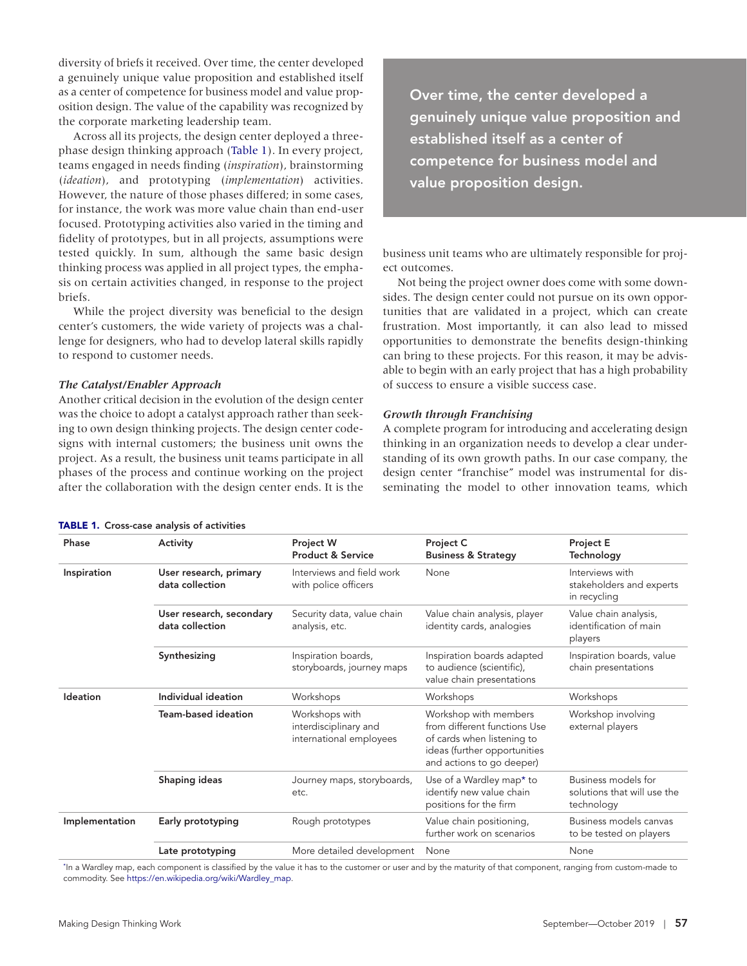diversity of briefs it received. Over time, the center developed a genuinely unique value proposition and established itself as a center of competence for business model and value proposition design. The value of the capability was recognized by the corporate marketing leadership team.

<span id="page-8-1"></span>Across all its projects, the design center deployed a threephase design thinking approach [\(Table 1](#page-8-0)). In every project, teams engaged in needs finding (*inspiration*), brainstorming (*ideation*), and prototyping (*implementation*) activities. However, the nature of those phases differed; in some cases, for instance, the work was more value chain than end-user focused. Prototyping activities also varied in the timing and fidelity of prototypes, but in all projects, assumptions were tested quickly. In sum, although the same basic design thinking process was applied in all project types, the emphasis on certain activities changed, in response to the project briefs.

While the project diversity was beneficial to the design center's customers, the wide variety of projects was a challenge for designers, who had to develop lateral skills rapidly to respond to customer needs.

### *The Catalyst/Enabler Approach*

Another critical decision in the evolution of the design center was the choice to adopt a catalyst approach rather than seeking to own design thinking projects. The design center codesigns with internal customers; the business unit owns the project. As a result, the business unit teams participate in all phases of the process and continue working on the project after the collaboration with the design center ends. It is the

<span id="page-8-0"></span>

| <b>TABLE 1.</b> Cross-case analysis of activities |  |  |  |
|---------------------------------------------------|--|--|--|
|---------------------------------------------------|--|--|--|

Over time, the center developed a genuinely unique value proposition and established itself as a center of competence for business model and value proposition design.

business unit teams who are ultimately responsible for project outcomes.

Not being the project owner does come with some downsides. The design center could not pursue on its own opportunities that are validated in a project, which can create frustration. Most importantly, it can also lead to missed opportunities to demonstrate the benefits design-thinking can bring to these projects. For this reason, it may be advisable to begin with an early project that has a high probability of success to ensure a visible success case.

### *Growth through Franchising*

<span id="page-8-3"></span>A complete program for introducing and accelerating design thinking in an organization needs to develop a clear understanding of its own growth paths. In our case company, the design center "franchise" model was instrumental for disseminating the model to other innovation teams, which

|                | <b>INDLL I:</b> CIUSS-Case alialysis UI activities |                                                                    |                                                                                                                                                  |                                                                  |  |  |  |  |
|----------------|----------------------------------------------------|--------------------------------------------------------------------|--------------------------------------------------------------------------------------------------------------------------------------------------|------------------------------------------------------------------|--|--|--|--|
| Phase          | Activity                                           | <b>Project W</b><br><b>Product &amp; Service</b>                   | Project C<br><b>Business &amp; Strategy</b>                                                                                                      | <b>Project E</b><br>Technology                                   |  |  |  |  |
| Inspiration    | User research, primary<br>data collection          | Interviews and field work<br>with police officers                  | None                                                                                                                                             | Interviews with<br>stakeholders and experts<br>in recycling      |  |  |  |  |
|                | User research, secondary<br>data collection        | Security data, value chain<br>analysis, etc.                       | Value chain analysis, player<br>identity cards, analogies                                                                                        | Value chain analysis,<br>identification of main<br>players       |  |  |  |  |
|                | Synthesizing                                       | Inspiration boards,<br>storyboards, journey maps                   | Inspiration boards adapted<br>to audience (scientific),<br>value chain presentations                                                             | Inspiration boards, value<br>chain presentations                 |  |  |  |  |
| Ideation       | Individual ideation                                | Workshops                                                          | Workshops                                                                                                                                        | Workshops                                                        |  |  |  |  |
|                | Team-based ideation                                | Workshops with<br>interdisciplinary and<br>international employees | Workshop with members<br>from different functions Use<br>of cards when listening to<br>ideas (further opportunities<br>and actions to go deeper) | Workshop involving<br>external players                           |  |  |  |  |
|                | Shaping ideas                                      | Journey maps, storyboards,<br>etc.                                 | Use of a Wardley map* to<br>identify new value chain<br>positions for the firm                                                                   | Business models for<br>solutions that will use the<br>technology |  |  |  |  |
| Implementation | Early prototyping                                  | Rough prototypes                                                   | Value chain positioning,<br>further work on scenarios                                                                                            | Business models canvas<br>to be tested on players                |  |  |  |  |
|                | Late prototyping                                   | More detailed development                                          | None                                                                                                                                             | None                                                             |  |  |  |  |
|                |                                                    |                                                                    |                                                                                                                                                  |                                                                  |  |  |  |  |

<span id="page-8-2"></span>[\\*](#page-8-3) In a Wardley map, each component is classified by the value it has to the customer or user and by the maturity of that component, ranging from custom-made to commodity. See [https://en.wikipedia.org/wiki/Wardley\\_map.](https://en.wikipedia.org/wiki/Wardley_map)